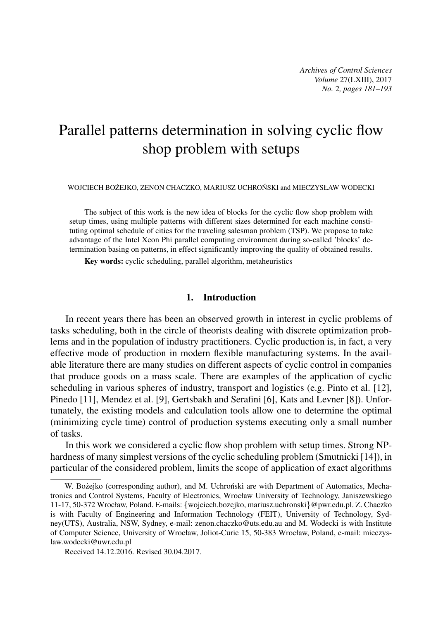*Archives of Control Sciences Volume* 27(LXIII), 2017 *No.* 2*, pages 181–193*

# Parallel patterns determination in solving cyclic flow shop problem with setups

WOJCIECH BOŻEJKO, ZENON CHACZKO, MARIUSZ UCHROŃSKI and MIECZYSŁAW WODECKI

The subject of this work is the new idea of blocks for the cyclic flow shop problem with setup times, using multiple patterns with different sizes determined for each machine constituting optimal schedule of cities for the traveling salesman problem (TSP). We propose to take advantage of the Intel Xeon Phi parallel computing environment during so-called 'blocks' determination basing on patterns, in effect significantly improving the quality of obtained results.

Key words: cyclic scheduling, parallel algorithm, metaheuristics

# 1. Introduction

In recent years there has been an observed growth in interest in cyclic problems of tasks scheduling, both in the circle of theorists dealing with discrete optimization problems and in the population of industry practitioners. Cyclic production is, in fact, a very effective mode of production in modern flexible manufacturing systems. In the available literature there are many studies on different aspects of cyclic control in companies that produce goods on a mass scale. There are examples of the application of cyclic scheduling in various spheres of industry, transport and logistics (e.g. Pinto et al. [12], Pinedo [11], Mendez et al. [9], Gertsbakh and Serafini [6], Kats and Levner [8]). Unfortunately, the existing models and calculation tools allow one to determine the optimal (minimizing cycle time) control of production systems executing only a small number of tasks.

In this work we considered a cyclic flow shop problem with setup times. Strong NPhardness of many simplest versions of the cyclic scheduling problem (Smutnicki [14]), in particular of the considered problem, limits the scope of application of exact algorithms

W. Bożejko (corresponding author), and M. Uchroński are with Department of Automatics, Mechatronics and Control Systems, Faculty of Electronics, Wrocław University of Technology, Janiszewskiego 11-17, 50-372 Wrocław, Poland. E-mails: *{*wojciech.bozejko, mariusz.uchronski*}*@pwr.edu.pl. Z. Chaczko is with Faculty of Engineering and Information Technology (FEIT), University of Technology, Sydney(UTS), Australia, NSW, Sydney, e-mail: zenon.chaczko@uts.edu.au and M. Wodecki is with Institute of Computer Science, University of Wrocław, Joliot-Curie 15, 50-383 Wrocław, Poland, e-mail: mieczyslaw.wodecki@uwr.edu.pl

Received 14.12.2016. Revised 30.04.2017.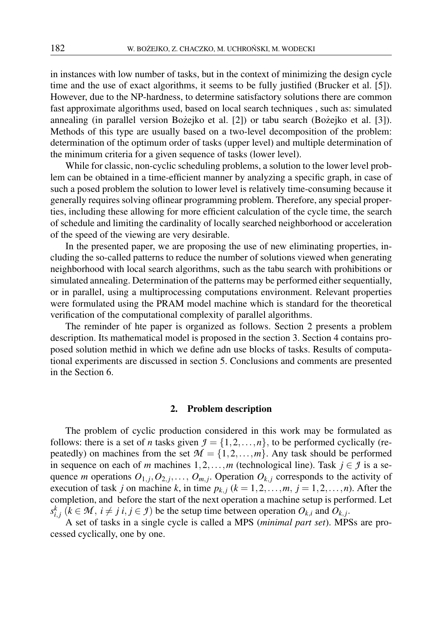in instances with low number of tasks, but in the context of minimizing the design cycle time and the use of exact algorithms, it seems to be fully justified (Brucker et al. [5]). However, due to the NP-hardness, to determine satisfactory solutions there are common fast approximate algorithms used, based on local search techniques , such as: simulated annealing (in parallel version Bozejko et al.  $[2]$ ) or tabu search (Bozejko et al.  $[3]$ ). Methods of this type are usually based on a two-level decomposition of the problem: determination of the optimum order of tasks (upper level) and multiple determination of the minimum criteria for a given sequence of tasks (lower level).

While for classic, non-cyclic scheduling problems, a solution to the lower level problem can be obtained in a time-efficient manner by analyzing a specific graph, in case of such a posed problem the solution to lower level is relatively time-consuming because it generally requires solving oflinear programming problem. Therefore, any special properties, including these allowing for more efficient calculation of the cycle time, the search of schedule and limiting the cardinality of locally searched neighborhood or acceleration of the speed of the viewing are very desirable.

In the presented paper, we are proposing the use of new eliminating properties, including the so-called patterns to reduce the number of solutions viewed when generating neighborhood with local search algorithms, such as the tabu search with prohibitions or simulated annealing. Determination of the patterns may be performed either sequentially, or in parallel, using a multiprocessing computations environment. Relevant properties were formulated using the PRAM model machine which is standard for the theoretical verification of the computational complexity of parallel algorithms.

The reminder of hte paper is organized as follows. Section 2 presents a problem description. Its mathematical model is proposed in the section 3. Section 4 contains proposed solution methid in which we define adn use blocks of tasks. Results of computational experiments are discussed in section 5. Conclusions and comments are presented in the Section 6.

#### 2. Problem description

The problem of cyclic production considered in this work may be formulated as follows: there is a set of *n* tasks given  $\mathcal{I} = \{1, 2, ..., n\}$ , to be performed cyclically (repeatedly) on machines from the set  $M = \{1, 2, ..., m\}$ . Any task should be performed in sequence on each of *m* machines  $1, 2, \ldots, m$  (technological line). Task  $j \in \mathcal{I}$  is a sequence *m* operations  $O_{1,j}, O_{2,j}, \ldots, O_{m,j}$ . Operation  $O_{k,j}$  corresponds to the activity of execution of task *j* on machine *k*, in time  $p_{k,j}$  ( $k = 1, 2, \ldots, m, j = 1, 2, \ldots, n$ ). After the completion, and before the start of the next operation a machine setup is performed. Let  $s_{i,j}^k$   $(k \in \mathcal{M}, i \neq j \ i, j \in \mathcal{I})$  be the setup time between operation  $O_{k,i}$  and  $O_{k,j}$ .

A set of tasks in a single cycle is called a MPS (*minimal part set*). MPSs are processed cyclically, one by one.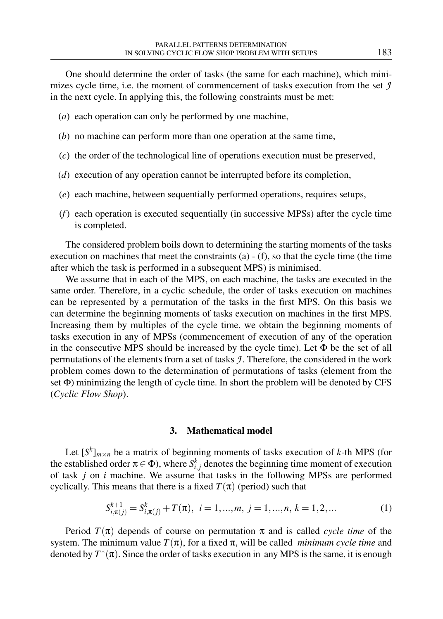One should determine the order of tasks (the same for each machine), which minimizes cycle time, i.e. the moment of commencement of tasks execution from the set *J* in the next cycle. In applying this, the following constraints must be met:

- (*a*) each operation can only be performed by one machine,
- (*b*) no machine can perform more than one operation at the same time,
- (*c*) the order of the technological line of operations execution must be preserved,
- (*d*) execution of any operation cannot be interrupted before its completion,
- (*e*) each machine, between sequentially performed operations, requires setups,
- (*f*) each operation is executed sequentially (in successive MPSs) after the cycle time is completed.

The considered problem boils down to determining the starting moments of the tasks execution on machines that meet the constraints (a)  $-$  (f), so that the cycle time (the time after which the task is performed in a subsequent MPS) is minimised.

We assume that in each of the MPS, on each machine, the tasks are executed in the same order. Therefore, in a cyclic schedule, the order of tasks execution on machines can be represented by a permutation of the tasks in the first MPS. On this basis we can determine the beginning moments of tasks execution on machines in the first MPS. Increasing them by multiples of the cycle time, we obtain the beginning moments of tasks execution in any of MPSs (commencement of execution of any of the operation in the consecutive MPS should be increased by the cycle time). Let  $\Phi$  be the set of all permutations of the elements from a set of tasks *J* . Therefore, the considered in the work problem comes down to the determination of permutations of tasks (element from the set  $\Phi$ ) minimizing the length of cycle time. In short the problem will be denoted by CFS (*Cyclic Flow Shop*).

## 3. Mathematical model

Let  $[S^k]_{m \times n}$  be a matrix of beginning moments of tasks execution of *k*-th MPS (for the established order  $\pi \in \Phi$ ), where  $S^k_{i,j}$  denotes the beginning time moment of execution of task *j* on *i* machine. We assume that tasks in the following MPSs are performed cyclically. This means that there is a fixed  $T(\pi)$  (period) such that

$$
S_{i,\pi(j)}^{k+1} = S_{i,\pi(j)}^k + T(\pi), \ \ i = 1,...,m, \ j = 1,...,n, \ k = 1,2,... \tag{1}
$$

Period  $T(\pi)$  depends of course on permutation  $\pi$  and is called *cycle time* of the system. The minimum value  $T(\pi)$ , for a fixed  $\pi$ , will be called *minimum cycle time* and denoted by  $T^*(\pi)$ . Since the order of tasks execution in any MPS is the same, it is enough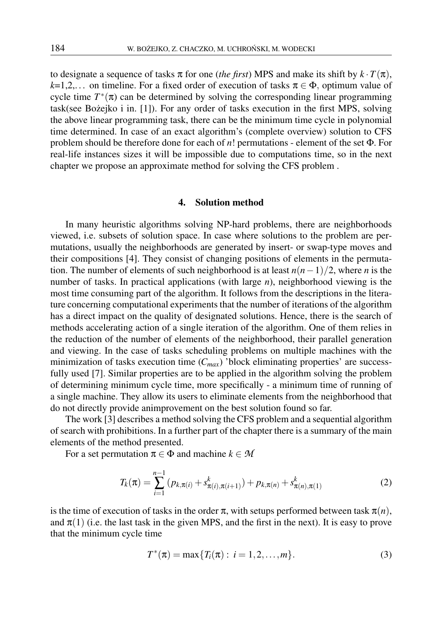to designate a sequence of tasks  $\pi$  for one *(the first)* MPS and make its shift by  $k \cdot T(\pi)$ ,  $k=1,2,...$  on timeline. For a fixed order of execution of tasks  $\pi \in \Phi$ , optimum value of cycle time  $T^*(\pi)$  can be determined by solving the corresponding linear programming task(see Bozejko i in.  $[1]$ ). For any order of tasks execution in the first MPS, solving the above linear programming task, there can be the minimum time cycle in polynomial time determined. In case of an exact algorithm's (complete overview) solution to CFS problem should be therefore done for each of *n*! permutations - element of the set Φ. For real-life instances sizes it will be impossible due to computations time, so in the next chapter we propose an approximate method for solving the CFS problem .

## 4. Solution method

In many heuristic algorithms solving NP-hard problems, there are neighborhoods viewed, i.e. subsets of solution space. In case where solutions to the problem are permutations, usually the neighborhoods are generated by insert- or swap-type moves and their compositions [4]. They consist of changing positions of elements in the permutation. The number of elements of such neighborhood is at least  $n(n-1)/2$ , where *n* is the number of tasks. In practical applications (with large *n*), neighborhood viewing is the most time consuming part of the algorithm. It follows from the descriptions in the literature concerning computational experiments that the number of iterations of the algorithm has a direct impact on the quality of designated solutions. Hence, there is the search of methods accelerating action of a single iteration of the algorithm. One of them relies in the reduction of the number of elements of the neighborhood, their parallel generation and viewing. In the case of tasks scheduling problems on multiple machines with the minimization of tasks execution time (*Cmax*) 'block eliminating properties' are successfully used [7]. Similar properties are to be applied in the algorithm solving the problem of determining minimum cycle time, more specifically - a minimum time of running of a single machine. They allow its users to eliminate elements from the neighborhood that do not directly provide animprovement on the best solution found so far.

The work [3] describes a method solving the CFS problem and a sequential algorithm of search with prohibitions. In a further part of the chapter there is a summary of the main elements of the method presented.

For a set permutation  $\pi \in \Phi$  and machine  $k \in \mathcal{M}$ 

$$
T_k(\pi) = \sum_{i=1}^{n-1} (p_{k,\pi(i)} + s_{\pi(i),\pi(i+1)}^k) + p_{k,\pi(n)} + s_{\pi(n),\pi(1)}^k
$$
 (2)

is the time of execution of tasks in the order  $\pi$ , with setups performed between task  $\pi(n)$ , and  $\pi(1)$  (i.e. the last task in the given MPS, and the first in the next). It is easy to prove that the minimum cycle time

$$
T^*(\pi) = \max\{T_i(\pi): i = 1, 2, \dots, m\}.
$$
 (3)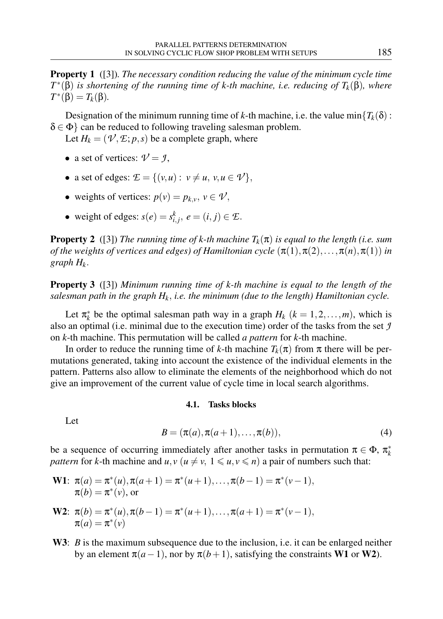Property 1 ([3])*. The necessary condition reducing the value of the minimum cycle time T ∗* (β) *is shortening of the running time of k-th machine, i.e. reducing of Tk*(β)*, where T*<sup>\*</sup>(β) = *T<sub>k</sub>*(β)*.* 

Designation of the minimum running time of *k*-th machine, i.e. the value min ${T_k(\delta)}$ : δ *∈* Φ*}* can be reduced to following traveling salesman problem.

- Let  $H_k = (\mathcal{V}, \mathcal{E}; p, s)$  be a complete graph, where
- a set of vertices:  $\nu = \gamma$ ,
- a set of edges:  $E = \{(v, u) : v \neq u, v, u \in V\}$ ,
- weights of vertices:  $p(v) = p_{k,v}$ ,  $v \in V$ ,
- weight of edges:  $s(e) = s_{i,j}^k$ ,  $e = (i, j) \in \mathcal{E}$ .

**Property 2** ([3]) *The running time of k-th machine*  $T_k(\pi)$  *is equal to the length (i.e. sum of the weights of vertices and edges) of Hamiltonian cycle*  $(\pi(1), \pi(2), \ldots, \pi(n), \pi(1))$  *in graph*  $H_k$ .

Property 3 ([3]) *Minimum running time of k-th machine is equal to the length of the salesman path in the graph Hk, i.e. the minimum (due to the length) Hamiltonian cycle.*

Let  $\pi_k^*$  be the optimal salesman path way in a graph  $H_k$  ( $k = 1, 2, ..., m$ ), which is also an optimal (i.e. minimal due to the execution time) order of the tasks from the set *J* on *k*-th machine. This permutation will be called *a pattern* for *k*-th machine.

In order to reduce the running time of *k*-th machine  $T_k(\pi)$  from  $\pi$  there will be permutations generated, taking into account the existence of the individual elements in the pattern. Patterns also allow to eliminate the elements of the neighborhood which do not give an improvement of the current value of cycle time in local search algorithms.

#### 4.1. Tasks blocks

Let

$$
B = (\pi(a), \pi(a+1), \dots, \pi(b)),
$$
 (4)

be a sequence of occurring immediately after another tasks in permutation  $\pi \in \Phi$ ,  $\pi_k^*$ *pattern* for *k*-th machine and  $u, v \ (u \neq v, 1 \leq u, v \leq n)$  a pair of numbers such that:

**W1**:  $\pi(a) = \pi^*(u), \pi(a+1) = \pi^*(u+1), \ldots, \pi(b-1) = \pi^*(v-1),$  $\pi(b) = \pi^*(v)$ , or

**W2:** 
$$
\pi(b) = \pi^*(u), \pi(b-1) = \pi^*(u+1), ..., \pi(a+1) = \pi^*(v-1),
$$
  
 $\pi(a) = \pi^*(v)$ 

W3: *B* is the maximum subsequence due to the inclusion, i.e. it can be enlarged neither by an element  $\pi(a-1)$ , nor by  $\pi(b+1)$ , satisfying the constraints **W1** or **W2**).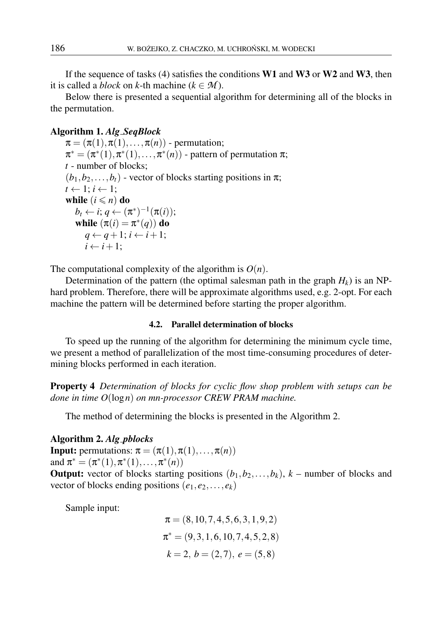If the sequence of tasks  $(4)$  satisfies the conditions **W1** and **W3** or **W2** and **W3**, then it is called a *block* on *k*-th machine ( $k \in \mathcal{M}$ ).

Below there is presented a sequential algorithm for determining all of the blocks in the permutation.

# Algorithm 1. *Alg SeqBlock*

 $\pi = (\pi(1), \pi(1), \ldots, \pi(n))$  - permutation;  $\pi^* = (\pi^*(1), \pi^*(1), \ldots, \pi^*(n))$  - pattern of permutation  $\pi$ ; *t* - number of blocks;  $(b_1, b_2, \ldots, b_t)$  - vector of blocks starting positions in  $\pi$ ;  $t \leftarrow 1; i \leftarrow 1;$ while  $(i \leq n)$  do  $b_t \leftarrow i; q \leftarrow (\pi^*)^{-1}(\pi(i));$ while  $(\pi(i) = \pi^*(q))$  do  $q \leftarrow q+1; i \leftarrow i+1;$  $i \leftarrow i+1$ ;

The computational complexity of the algorithm is  $O(n)$ .

Determination of the pattern (the optimal salesman path in the graph  $H_k$ ) is an NPhard problem. Therefore, there will be approximate algorithms used, e.g. 2-opt. For each machine the pattern will be determined before starting the proper algorithm.

# 4.2. Parallel determination of blocks

To speed up the running of the algorithm for determining the minimum cycle time, we present a method of parallelization of the most time-consuming procedures of determining blocks performed in each iteration.

Property 4 *Determination of blocks for cyclic flow shop problem with setups can be done in time O*(log*n*) *on mn-processor CREW PRAM machine.*

The method of determining the blocks is presented in the Algorithm 2.

# Algorithm 2. *Alg pblocks*

**Input:** permutations:  $\pi = (\pi(1), \pi(1), \ldots, \pi(n))$ and  $\pi^* = (\pi^*(1), \pi^*(1), \ldots, \pi^*(n))$ 

**Output:** vector of blocks starting positions  $(b_1, b_2, \ldots, b_k)$ ,  $k$  – number of blocks and vector of blocks ending positions  $(e_1, e_2, \ldots, e_k)$ 

Sample input:

$$
\pi = (8, 10, 7, 4, 5, 6, 3, 1, 9, 2)
$$

$$
\pi^* = (9, 3, 1, 6, 10, 7, 4, 5, 2, 8)
$$

$$
k = 2, b = (2, 7), e = (5, 8)
$$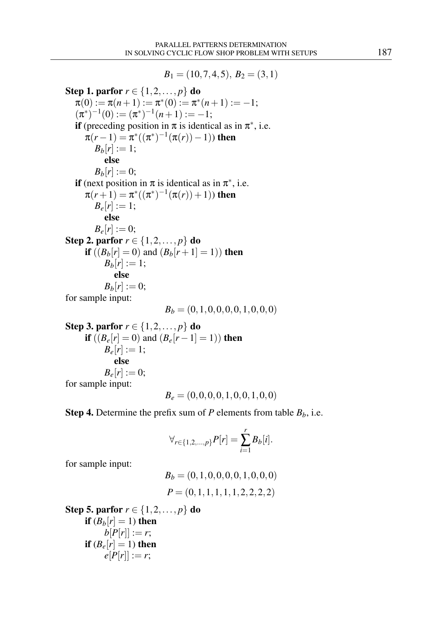$B_1 = (10, 7, 4, 5), B_2 = (3, 1)$ 

Step 1. parfor  $r \in \{1, 2, \ldots, p\}$  do  $\pi(0) := \pi(n+1) := \pi^*(0) := \pi^*(n+1) := -1;$  $(\pi^*)^{-1}(0) := (\pi^*)^{-1}(n+1) := -1;$ if (preceding position in  $\pi$  is identical as in  $\pi^*$ , i.e.  $\pi(r-1) = \pi^*((\pi^*)^{-1}(\pi(r))-1))$  then  $B_b[r] := 1;$ else  $B_b[r] := 0;$ if (next position in  $\pi$  is identical as in  $\pi^*$ , i.e.  $\pi(r+1) = \pi^*((\pi^*)^{-1}(\pi(r)) + 1))$  then  $B_e[r] := 1;$ else  $B_e[r] := 0;$ Step 2. parfor  $r \in \{1, 2, \ldots, p\}$  do if  $((B_b[r] = 0)$  and  $(B_b[r+1] = 1)$ ) then  $B_b[r] := 1;$ else  $B_b[r] := 0;$ for sample input: *B<sup>b</sup>* = (0*,*1*,*0*,*0*,*0*,*0*,*1*,*0*,*0*,*0)

Step 3. parfor  $r \in \{1, 2, \ldots, p\}$  do **if**  $((B_e[r] = 0)$  and  $(B_e[r-1] = 1)$ ) then  $B_e[r] := 1;$ else  $B_e[r] := 0;$ for sample input:

$$
B_e = (0, 0, 0, 0, 1, 0, 0, 1, 0, 0)
$$

**Step 4.** Determine the prefix sum of *P* elements from table  $B_b$ , i.e.

$$
\forall_{r \in \{1, 2, ..., p\}} P[r] = \sum_{i=1}^{r} B_{b}[i].
$$

for sample input:

$$
B_b = (0, 1, 0, 0, 0, 0, 1, 0, 0, 0)
$$
  

$$
P = (0, 1, 1, 1, 1, 1, 2, 2, 2, 2)
$$

```
Step 5. parfor r ∈ {1,2,..., p} do
```

$$
\begin{aligned}\n\text{if } (B_b[r] = 1) \text{ then} \\
b[P[r]] &:= r; \\
\text{if } (B_e[r] = 1) \text{ then} \\
e[P[r]] &:= r;\n\end{aligned}
$$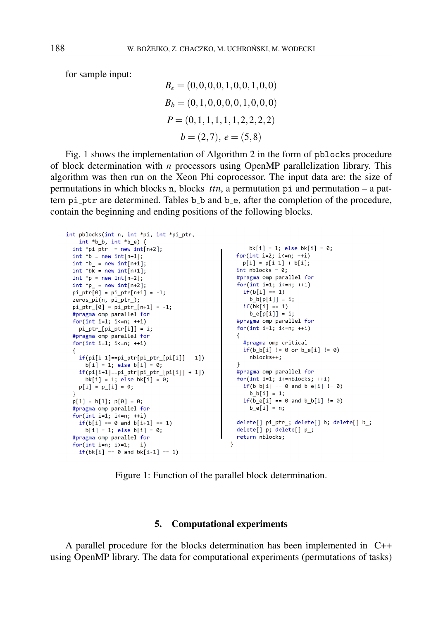for sample input:

$$
B_e = (0, 0, 0, 0, 1, 0, 0, 1, 0, 0)
$$
  
\n
$$
B_b = (0, 1, 0, 0, 0, 0, 1, 0, 0, 0)
$$
  
\n
$$
P = (0, 1, 1, 1, 1, 1, 2, 2, 2, 2)
$$
  
\n
$$
b = (2, 7), e = (5, 8)
$$

Fig. 1 shows the implementation of Algorithm 2 in the form of pblocks procedure of block determination with *n* processors using OpenMP parallelization library. This algorithm was then run on the Xeon Phi coprocessor. The input data are: the size of permutations in which blocks n, blocks *ttn*, a permutation pi and permutation – a pattern pi ptr are determined. Tables b b and b e, after the completion of the procedure, contain the beginning and ending positions of the following blocks.

```
int pblocks(int n, int *pi, int *pi_ptr,
   int *b b, int *b e)bk[i] = 1; else bk[i] = 0;
 int *pi_ptr_ = new int[n+2];int *b = new int[n+1];for(int i=2; i<=n; ++i)
                                                      p[i] = p[i-1] + b[i];int *b = new int[n+1];int *bk = new int[n+1];
                                                     int nblocks = 0;
                                                     #pragma omp parallel for
 int *p = new int[n+2];
 int *p_ = new int[n+2];for(int i=1; i<=n; ++i)
                                                       if(b[i] == 1)pi_ptr[0] = pi_ptr[n+1] = -1;b_b[p[i]] = i;zeros_pi(n, pi_ptr_);
 pi_ptr_{0} = pi_ptr_{n+1} = -1;if(bk[i] == 1)#pragma omp parallel for
                                                        b e[p[i]] = i;for(int i=1; i<=n; ++i)#pragma omp parallel for
                                                     for(int i=1; i<=n; ++i)
  pi_ptr_{[pi_ptr[i]] = i;#pragma omp parallel for
 for(int i=1; i<=n; ++i)
                                                       #pragma omp critical
                                                       if(b_b[i] != 0 or b_e[i] != 0)€
   if(pi[i-1]==pi_ptr[pi_pr-[pi[i]] - 1])nblocks++;
     b[i] = 1; else b[i] = 0;if(pi[i+1]==pi_prr[pi_pr'[pi[i]] + 1])#pragma omp parallel for
     bk[i] = 1; else bk[i] = 0;
                                                     for(int i=1; i<=nblocks; ++i)
   p[i] = p_{i}[i] = 0;if(b_b[i] == 0 \text{ and } b_e[i] != 0)b_b[i] = 1;<sup>1</sup>
                                                       if(b_e[i] == 0 and b_b[i] != 0)p[1] = b[1]; p[0] = 0;b_e[i] = n;#pragma omp parallel for
 for(int i=1; i \le n; ++i)
   if(b[i] == 0 and b[i+1] == 1)delete[] pi_ptr_; delete[] b; delete[] b_;
                                                     delete[] p; delete[] p_;
     b[i] = 1; else b[i] = 0;return nblocks;
 #pragma omp parallel for
 for(int i=n; i>=1; -i)
                                                   \mathcal{F}if(bk[i] == 0 and bk[i-1] == 1)
```
Figure 1: Function of the parallel block determination.

#### 5. Computational experiments

A parallel procedure for the blocks determination has been implemented in C++ using OpenMP library. The data for computational experiments (permutations of tasks)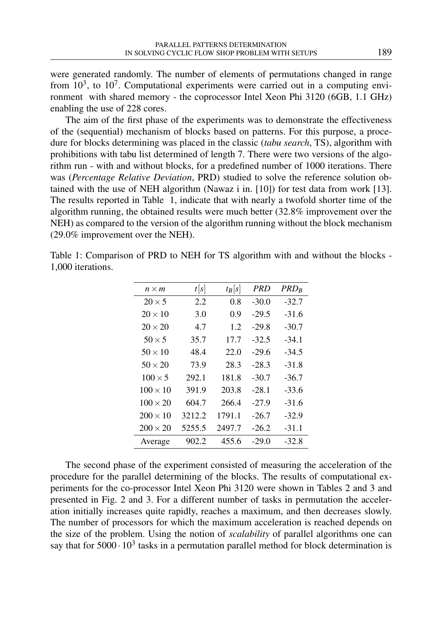were generated randomly. The number of elements of permutations changed in range from  $10^3$ , to  $10^7$ . Computational experiments were carried out in a computing environment with shared memory - the coprocessor Intel Xeon Phi 3120 (6GB, 1.1 GHz) enabling the use of 228 cores.

The aim of the first phase of the experiments was to demonstrate the effectiveness of the (sequential) mechanism of blocks based on patterns. For this purpose, a procedure for blocks determining was placed in the classic (*tabu search*, TS), algorithm with prohibitions with tabu list determined of length 7. There were two versions of the algorithm run - with and without blocks, for a predefined number of 1000 iterations. There was (*Percentage Relative Deviation*, PRD) studied to solve the reference solution obtained with the use of NEH algorithm (Nawaz i in. [10]) for test data from work [13]. The results reported in Table 1, indicate that with nearly a twofold shorter time of the algorithm running, the obtained results were much better (32.8% improvement over the NEH) as compared to the version of the algorithm running without the block mechanism (29.0% improvement over the NEH).

| $n \times m$    | t[s]   | $t_B[s]$ | <b>PRD</b> | $PRD_R$ |
|-----------------|--------|----------|------------|---------|
| $20 \times 5$   | 2.2    | 0.8      | $-30.0$    | $-32.7$ |
| $20 \times 10$  | 3.0    | 0.9      | $-29.5$    | $-31.6$ |
| $20 \times 20$  | 4.7    | 1.2      | $-29.8$    | $-30.7$ |
| $50 \times 5$   | 35.7   | 17.7     | $-32.5$    | $-34.1$ |
| $50 \times 10$  | 48.4   | 22.0     | $-29.6$    | -34.5   |
| $50 \times 20$  | 73.9   | 28.3     | $-28.3$    | $-31.8$ |
| $100 \times 5$  | 292.1  | 181.8    | $-30.7$    | -36.7   |
| $100 \times 10$ | 391.9  | 203.8    | $-28.1$    | $-33.6$ |
| $100 \times 20$ | 604.7  | 266.4    | $-27.9$    | $-31.6$ |
| $200 \times 10$ | 3212.2 | 1791.1   | $-26.7$    | $-32.9$ |
| $200 \times 20$ | 5255.5 | 2497.7   | $-26.2$    | $-31.1$ |
| Average         | 902.2  | 455.6    | $-29.0$    | $-32.8$ |

Table 1: Comparison of PRD to NEH for TS algorithm with and without the blocks - 1,000 iterations.

The second phase of the experiment consisted of measuring the acceleration of the procedure for the parallel determining of the blocks. The results of computational experiments for the co-processor Intel Xeon Phi 3120 were shown in Tables 2 and 3 and presented in Fig. 2 and 3. For a different number of tasks in permutation the acceleration initially increases quite rapidly, reaches a maximum, and then decreases slowly. The number of processors for which the maximum acceleration is reached depends on the size of the problem. Using the notion of *scalability* of parallel algorithms one can say that for  $5000 \cdot 10^3$  tasks in a permutation parallel method for block determination is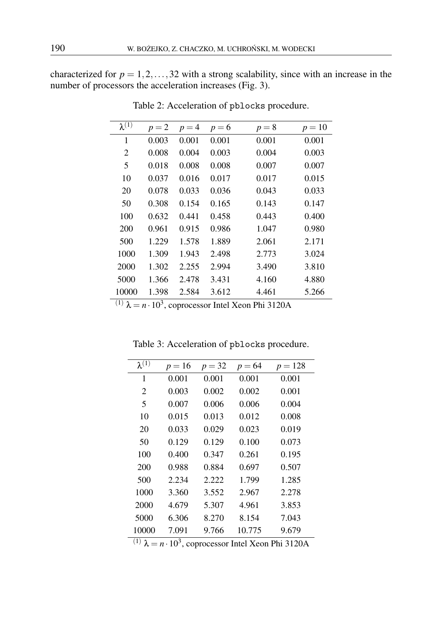characterized for  $p = 1, 2, \ldots, 32$  with a strong scalability, since with an increase in the number of processors the acceleration increases (Fig. 3).

| $\lambda^{(1)}$    | $p = 2$ | $p = 4$ | $p=6$ | $p = 8$ | $p = 10$ |
|--------------------|---------|---------|-------|---------|----------|
| 1                  | 0.003   | 0.001   | 0.001 | 0.001   | 0.001    |
| 2                  | 0.008   | 0.004   | 0.003 | 0.004   | 0.003    |
| 5                  | 0.018   | 0.008   | 0.008 | 0.007   | 0.007    |
| 10                 | 0.037   | 0.016   | 0.017 | 0.017   | 0.015    |
| 20                 | 0.078   | 0.033   | 0.036 | 0.043   | 0.033    |
| 50                 | 0.308   | 0.154   | 0.165 | 0.143   | 0.147    |
| 100                | 0.632   | 0.441   | 0.458 | 0.443   | 0.400    |
| 200                | 0.961   | 0.915   | 0.986 | 1.047   | 0.980    |
| 500                | 1.229   | 1.578   | 1.889 | 2.061   | 2.171    |
| 1000               | 1.309   | 1.943   | 2.498 | 2.773   | 3.024    |
| 2000               | 1.302   | 2.255   | 2.994 | 3.490   | 3.810    |
| 5000               | 1.366   | 2.478   | 3.431 | 4.160   | 4.880    |
| 10000<br>$\lambda$ | 1.398   | 2.584   | 3.612 | 4.461   | 5.266    |

Table 2: Acceleration of pblocks procedure.

<sup>(1)</sup>  $\lambda = n \cdot 10^3$ , coprocessor Intel Xeon Phi 3120A

| $\lambda^{(1)}$ | $p = 16$ | $p = 32$ | $p = 64$ | $p = 128$ |
|-----------------|----------|----------|----------|-----------|
| 1               | 0.001    | 0.001    | 0.001    | 0.001     |
| 2               | 0.003    | 0.002    | 0.002    | 0.001     |
| 5               | 0.007    | 0.006    | 0.006    | 0.004     |
| 10              | 0.015    | 0.013    | 0.012    | 0.008     |
| 20              | 0.033    | 0.029    | 0.023    | 0.019     |
| 50              | 0.129    | 0.129    | 0.100    | 0.073     |
| 100             | 0.400    | 0.347    | 0.261    | 0.195     |
| 200             | 0.988    | 0.884    | 0.697    | 0.507     |
| 500             | 2.234    | 2.222    | 1.799    | 1.285     |
| 1000            | 3.360    | 3.552    | 2.967    | 2.278     |
| 2000            | 4.679    | 5.307    | 4.961    | 3.853     |
| 5000            | 6.306    | 8.270    | 8.154    | 7.043     |
| 10000           | 7.091    | 9.766    | 10.775   | 9.679     |

Table 3: Acceleration of pblocks procedure.

<sup>(1)</sup>  $\lambda = n \cdot 10^3$ , coprocessor Intel Xeon Phi 3120A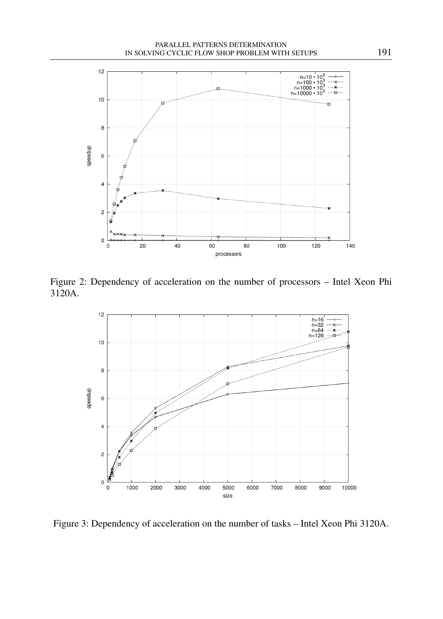

Figure 2: Dependency of acceleration on the number of processors – Intel Xeon Phi 3120A.



Figure 3: Dependency of acceleration on the number of tasks – Intel Xeon Phi 3120A.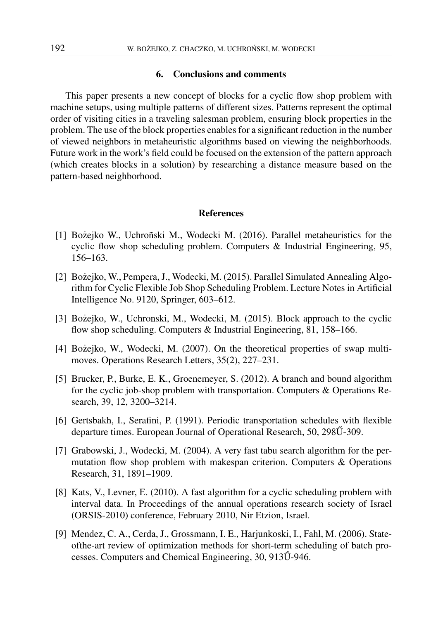## 6. Conclusions and comments

This paper presents a new concept of blocks for a cyclic flow shop problem with machine setups, using multiple patterns of different sizes. Patterns represent the optimal order of visiting cities in a traveling salesman problem, ensuring block properties in the problem. The use of the block properties enables for a significant reduction in the number of viewed neighbors in metaheuristic algorithms based on viewing the neighborhoods. Future work in the work's field could be focused on the extension of the pattern approach (which creates blocks in a solution) by researching a distance measure based on the pattern-based neighborhood.

#### References

- [1] Bożejko W., Uchroñski M., Wodecki M. (2016). Parallel metaheuristics for the cyclic flow shop scheduling problem. Computers & Industrial Engineering, 95, 156–163.
- [2] Bożejko, W., Pempera, J., Wodecki, M. (2015). Parallel Simulated Annealing Algorithm for Cyclic Flexible Job Shop Scheduling Problem. Lecture Notes in Artificial Intelligence No. 9120, Springer, 603–612.
- [3] Bożejko, W., Uchronski, M., Wodecki, M. (2015). Block approach to the cyclic flow shop scheduling. Computers & Industrial Engineering, 81, 158–166.
- [4] Bożejko, W., Wodecki, M. (2007). On the theoretical properties of swap multimoves. Operations Research Letters, 35(2), 227–231.
- [5] Brucker, P., Burke, E. K., Groenemeyer, S. (2012). A branch and bound algorithm for the cyclic job-shop problem with transportation. Computers & Operations Research, 39, 12, 3200–3214.
- [6] Gertsbakh, I., Serafini, P. (1991). Periodic transportation schedules with flexible departure times. European Journal of Operational Research, 50, 298  $\check{U}$ -309.
- [7] Grabowski, J., Wodecki, M. (2004). A very fast tabu search algorithm for the permutation flow shop problem with makespan criterion. Computers & Operations Research, 31, 1891–1909.
- [8] Kats, V., Levner, E. (2010). A fast algorithm for a cyclic scheduling problem with interval data. In Proceedings of the annual operations research society of Israel (ORSIS-2010) conference, February 2010, Nir Etzion, Israel.
- [9] Mendez, C. A., Cerda, J., Grossmann, I. E., Harjunkoski, I., Fahl, M. (2006). Stateofthe-art review of optimization methods for short-term scheduling of batch processes. Computers and Chemical Engineering, 30, 913U-946.